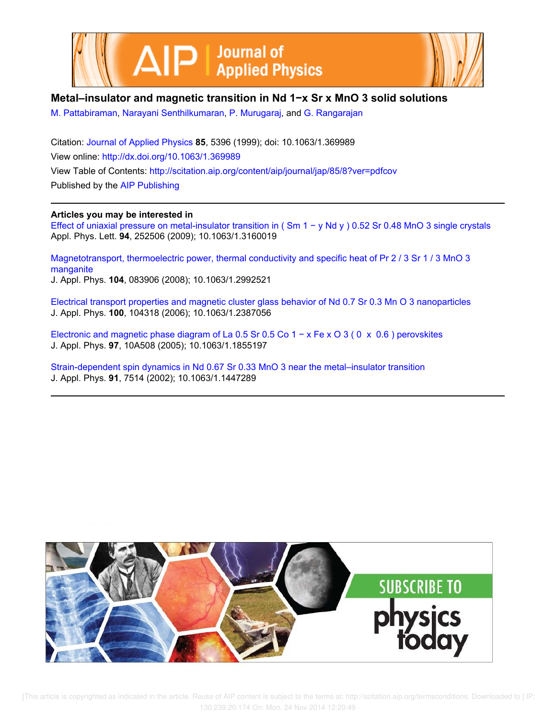



## **Metal–insulator and magnetic transition in Nd 1−x Sr x MnO 3 solid solutions**

M. Pattabiraman, Narayani Senthilkumaran, P. Murugaraj, and G. Rangarajan

Citation: Journal of Applied Physics **85**, 5396 (1999); doi: 10.1063/1.369989 View online: http://dx.doi.org/10.1063/1.369989 View Table of Contents: http://scitation.aip.org/content/aip/journal/jap/85/8?ver=pdfcov Published by the AIP Publishing

## **Articles you may be interested in**

Effect of uniaxial pressure on metal-insulator transition in ( Sm 1 − y Nd y ) 0.52 Sr 0.48 MnO 3 single crystals Appl. Phys. Lett. **94**, 252506 (2009); 10.1063/1.3160019

Magnetotransport, thermoelectric power, thermal conductivity and specific heat of Pr 2 / 3 Sr 1 / 3 MnO 3 manganite J. Appl. Phys. **104**, 083906 (2008); 10.1063/1.2992521

Electrical transport properties and magnetic cluster glass behavior of Nd 0.7 Sr 0.3 Mn O 3 nanoparticles J. Appl. Phys. **100**, 104318 (2006); 10.1063/1.2387056

Electronic and magnetic phase diagram of La 0.5 Sr 0.5 Co 1 − x Fe x O 3 ( 0 x 0.6 ) perovskites J. Appl. Phys. **97**, 10A508 (2005); 10.1063/1.1855197

Strain-dependent spin dynamics in Nd 0.67 Sr 0.33 MnO 3 near the metal–insulator transition J. Appl. Phys. **91**, 7514 (2002); 10.1063/1.1447289

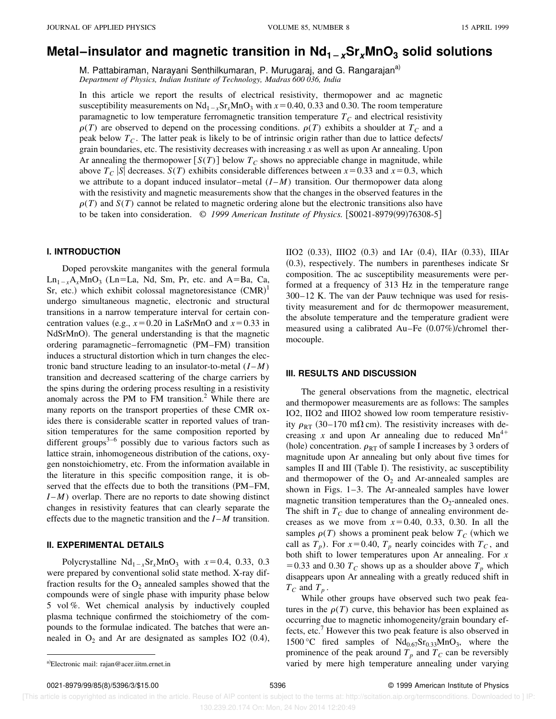# **Metal–insulator and magnetic transition in**  $Nd_{1-x}Sr_xMnO_3$  **solid solutions**

M. Pattabiraman, Narayani Senthilkumaran, P. Murugaraj, and G. Rangarajan<sup>a)</sup> *Department of Physics, Indian Institute of Technology, Madras 600 036, India*

In this article we report the results of electrical resistivity, thermopower and ac magnetic susceptibility measurements on  $Nd_{1-x}Sr_xMnO_3$  with  $x=0.40, 0.33$  and 0.30. The room temperature paramagnetic to low temperature ferromagnetic transition temperature  $T_c$  and electrical resistivity  $\rho(T)$  are observed to depend on the processing conditions.  $\rho(T)$  exhibits a shoulder at  $T_c$  and a peak below  $T_c$ . The latter peak is likely to be of intrinsic origin rather than due to lattice defects/ grain boundaries, etc. The resistivity decreases with increasing *x* as well as upon Ar annealing. Upon Ar annealing the thermopower  $[S(T)]$  below  $T_C$  shows no appreciable change in magnitude, while above  $T_c$  *S* decreases. *S*(*T*) exhibits considerable differences between  $x=0.33$  and  $x=0.3$ , which we attribute to a dopant induced insulator–metal  $(I-M)$  transition. Our thermopower data along with the resistivity and magnetic measurements show that the changes in the observed features in the  $\rho(T)$  and  $S(T)$  cannot be related to magnetic ordering alone but the electronic transitions also have to be taken into consideration. © 1999 American Institute of Physics. [S0021-8979(99)76308-5]

#### **I. INTRODUCTION**

Doped perovskite manganites with the general formula  $Ln_{1-x}A_xMnO_3$  (Ln=La, Nd, Sm, Pr, etc. and A=Ba, Ca, Sr, etc.) which exhibit colossal magnetoresistance  $(CMR)^1$ undergo simultaneous magnetic, electronic and structural transitions in a narrow temperature interval for certain concentration values (e.g.,  $x=0.20$  in LaSrMnO and  $x=0.33$  in NdSrMnO). The general understanding is that the magnetic ordering paramagnetic–ferromagnetic (PM–FM) transition induces a structural distortion which in turn changes the electronic band structure leading to an insulator-to-metal  $(I-M)$ transition and decreased scattering of the charge carriers by the spins during the ordering process resulting in a resistivity anomaly across the PM to FM transition.<sup>2</sup> While there are many reports on the transport properties of these CMR oxides there is considerable scatter in reported values of transition temperatures for the same composition reported by different groups<sup>3–6</sup> possibly due to various factors such as lattice strain, inhomogeneous distribution of the cations, oxygen nonstoichiometry, etc. From the information available in the literature in this specific composition range, it is observed that the effects due to both the transitions (PM–FM, *I* – *M*) overlap. There are no reports to date showing distinct changes in resistivity features that can clearly separate the effects due to the magnetic transition and the *I* – *M* transition.

#### **II. EXPERIMENTAL DETAILS**

Polycrystalline  $Nd_{1-x}Sr_xMnO_3$  with  $x=0.4$ , 0.33, 0.3 were prepared by conventional solid state method. X-ray diffraction results for the  $O_2$  annealed samples showed that the compounds were of single phase with impurity phase below 5 vol %. Wet chemical analysis by inductively coupled plasma technique confirmed the stoichiometry of the compounds to the formulae indicated. The batches that were annealed in  $O_2$  and Ar are designated as samples IO2 (0.4),  $IIO2$  (0.33),  $IIIO2$  (0.3) and IAr (0.4), IIAr (0.33), IIIAr  $(0.3)$ , respectively. The numbers in parentheses indicate Sr composition. The ac susceptibility measurements were performed at a frequency of 313 Hz in the temperature range 300–12 K. The van der Pauw technique was used for resistivity measurement and for dc thermopower measurement, the absolute temperature and the temperature gradient were measured using a calibrated Au–Fe  $(0.07%)$ /chromel thermocouple.

#### **III. RESULTS AND DISCUSSION**

The general observations from the magnetic, electrical and thermopower measurements are as follows: The samples IO2, IIO2 and IIIO2 showed low room temperature resistivity  $\rho_{RT}$  (30–170 m $\Omega$  cm). The resistivity increases with decreasing *x* and upon Ar annealing due to reduced  $Mn^{4+}$ (hole) concentration.  $\rho_{RT}$  of sample I increases by 3 orders of magnitude upon Ar annealing but only about five times for samples II and III (Table I). The resistivity, ac susceptibility and thermopower of the  $O_2$  and Ar-annealed samples are shown in Figs. 1–3. The Ar-annealed samples have lower magnetic transition temperatures than the  $O_2$ -annealed ones. The shift in  $T_C$  due to change of annealing environment decreases as we move from  $x=0.40, 0.33, 0.30$ . In all the samples  $\rho(T)$  shows a prominent peak below  $T_c$  (which we call as  $T_p$ ). For  $x=0.40$ ,  $T_p$  nearly coincides with  $T_c$ , and both shift to lower temperatures upon Ar annealing. For *x* =0.33 and 0.30  $T_c$  shows up as a shoulder above  $T_p$  which disappears upon Ar annealing with a greatly reduced shift in  $T_C$  and  $T_p$ .

While other groups have observed such two peak features in the  $\rho(T)$  curve, this behavior has been explained as occurring due to magnetic inhomogeneity/grain boundary effects, etc.<sup>7</sup> However this two peak feature is also observed in 1500 °C fired samples of  $Nd_{0.67}Sr_{0.33}MnO_3$ , where the prominence of the peak around  $T_p$  and  $T_c$  can be reversibly a)Electronic mail: rajan@acer.iitm.ernet.in a control of the varying varied by mere high temperature annealing under varying

 [This article is copyrighted as indicated in the article. Reuse of AIP content is subject to the terms at: http://scitation.aip.org/termsconditions. Downloaded to ] IP: 130.239.20.174 On: Mon, 24 Nov 2014 12:20:49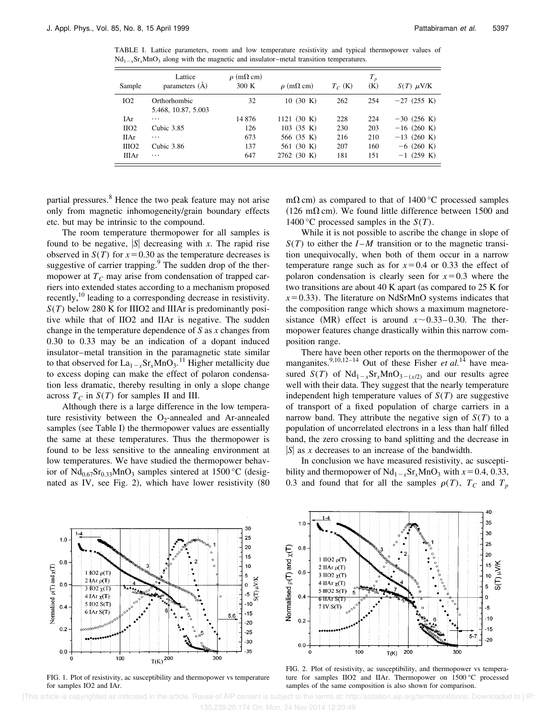TABLE I. Lattice parameters, room and low temperature resistivity and typical thermopower values of  $Nd_{1-x}Sr_xMnO_3$  along with the magnetic and insulator–metal transition temperatures.

| Sample            | Lattice<br>parameters (A)           | $\rho$ (m $\Omega$ cm)<br>300K | $\rho$ (m $\Omega$ cm) | $T_C$ (K) | $T_p$<br>(K) | $S(T)$ $\mu$ V/K |
|-------------------|-------------------------------------|--------------------------------|------------------------|-----------|--------------|------------------|
| IO2               | Orthorhombic<br>5.468, 10.87, 5.003 | 32                             | 10(30 K)               | 262       | 254          | $-27$ (255 K)    |
| IAr               | $\cdots$                            | 14876                          | 1121 (30 K)            | 228       | 224          | $-30$ (256 K)    |
| $_{IIO2}$         | Cubic 3.85                          | 126                            | $103$ (35 K)           | 230       | 203          | $-16$ (260 K)    |
| <b>IIAr</b>       | .                                   | 673                            | 566 (35 K)             | 216       | 210          | $-13(260 K)$     |
| IIIO <sub>2</sub> | Cubic 3.86                          | 137                            | 561 (30 K)             | 207       | 160          | $-6$ (260 K)     |
| <b>IIIAr</b>      | $\cdots$                            | 647                            | 2762 (30 K)            | 181       | 151          | $-1$ (259 K)     |

partial pressures.<sup>8</sup> Hence the two peak feature may not arise only from magnetic inhomogeneity/grain boundary effects etc. but may be intrinsic to the compound.

The room temperature thermopower for all samples is found to be negative,  $|S|$  decreasing with *x*. The rapid rise observed in  $S(T)$  for  $x=0.30$  as the temperature decreases is suggestive of carrier trapping. $9$  The sudden drop of the thermopower at  $T_c$  may arise from condensation of trapped carriers into extended states according to a mechanism proposed recently,<sup>10</sup> leading to a corresponding decrease in resistivity. *S*(*T*) below 280 K for IIIO2 and IIIAr is predominantly positive while that of IIO2 and IIAr is negative. The sudden change in the temperature dependence of *S* as *x* changes from 0.30 to 0.33 may be an indication of a dopant induced insulator–metal transition in the paramagnetic state similar to that observed for  $La_{1-x}Sr_xMnO_3$ .<sup>11</sup> Higher metallicity due to excess doping can make the effect of polaron condensation less dramatic, thereby resulting in only a slope change across  $T_C$  in  $S(T)$  for samples II and III.

Although there is a large difference in the low temperature resistivity between the  $O_2$ -annealed and Ar-annealed samples (see Table I) the thermopower values are essentially the same at these temperatures. Thus the thermopower is found to be less sensitive to the annealing environment at low temperatures. We have studied the thermopower behavior of  $Nd_{0.67}Sr_{0.33}MnO_3$  samples sintered at 1500 °C (designated as IV, see Fig. 2), which have lower resistivity  $(80)$  m $\Omega$  cm) as compared to that of 1400 °C processed samples  $(126 \text{ m}\Omega \text{ cm})$ . We found little difference between 1500 and 1400 °C processed samples in the *S*(*T*).

While it is not possible to ascribe the change in slope of  $S(T)$  to either the *I* – *M* transition or to the magnetic transition unequivocally, when both of them occur in a narrow temperature range such as for  $x=0.4$  or 0.33 the effect of polaron condensation is clearly seen for  $x=0.3$  where the two transitions are about 40 K apart (as compared to 25 K for  $x=0.33$ ). The literature on NdSrMnO systems indicates that the composition range which shows a maximum magnetoresistance (MR) effect is around  $x \sim 0.33 - 0.30$ . The thermopower features change drastically within this narrow composition range.

There have been other reports on the thermopower of the manganites.<sup>9,10,12–14</sup> Out of these Fisher *et al.*<sup>14</sup> have measured *S*(*T*) of  $Nd_{1-x}Sr_xMnO_{3-(x/2)}$  and our results agree well with their data. They suggest that the nearly temperature independent high temperature values of  $S(T)$  are suggestive of transport of a fixed population of charge carriers in a narrow band. They attribute the negative sign of  $S(T)$  to a population of uncorrelated electrons in a less than half filled band, the zero crossing to band splitting and the decrease in  $|S|$  as *x* decreases to an increase of the bandwidth.

In conclusion we have measured resistivity, ac susceptibility and thermopower of  $Nd_{1-x}Sr_xMnO_3$  with  $x=0.4, 0.33$ , 0.3 and found that for all the samples  $\rho(T)$ ,  $T_c$  and  $T_p$ 



FIG. 1. Plot of resistivity, ac susceptibility and thermopower vs temperature for samples IO2 and IAr.



FIG. 2. Plot of resistivity, ac susceptibility, and thermopower vs temperature for samples IIO2 and IIAr. Thermopower on 1500 °C processed samples of the same composition is also shown for comparison.

 [This article is copyrighted as indicated in the article. Reuse of AIP content is subject to the terms at: http://scitation.aip.org/termsconditions. Downloaded to ] IP: 130.239.20.174 On: Mon, 24 Nov 2014 12:20:49